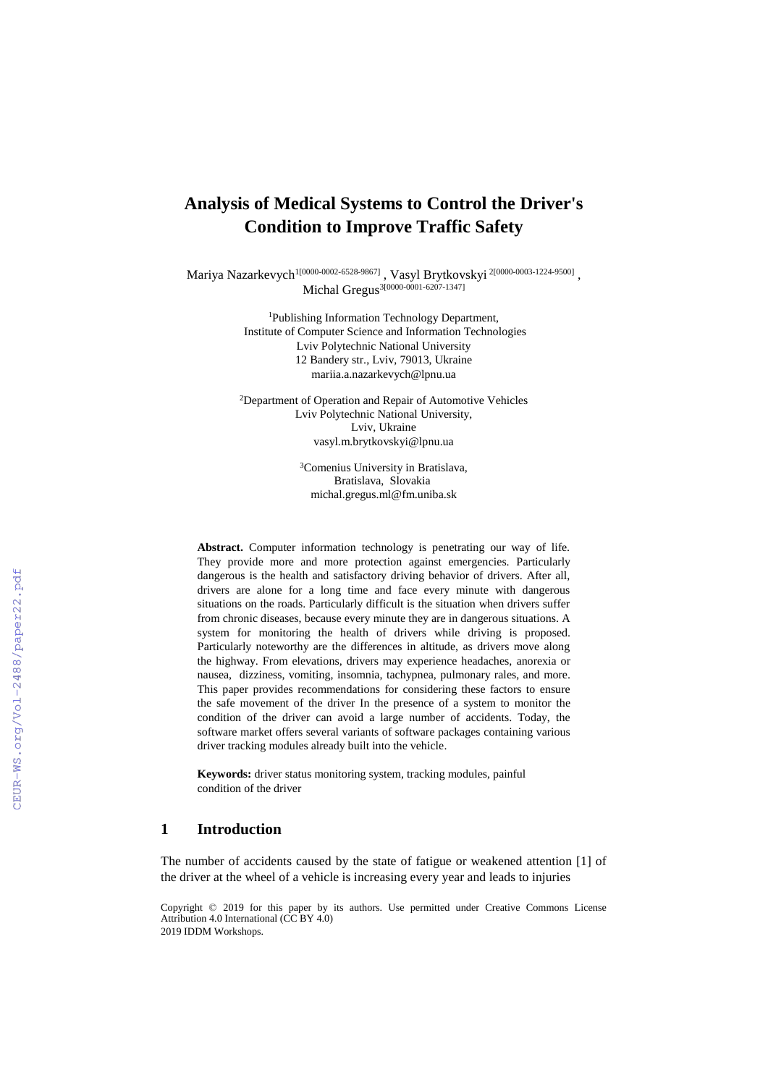# **Analysis of Medical Systems to Control the Driver's Condition to Improve Traffic Safety**

Mariya Nazarkevych<sup>1[0000-0002-6528-9867]</sup> , Vasyl Brytkovskyi <sup>2[\[0000-0003-1224-9500\]](https://orcid.org/0000-0003-1224-9500)</sup> , Michal Gregus<sup>3[0000-0001-6207-1347]</sup>

> <sup>1</sup>Publishing Information Technology Department, Institute of Computer Science and Information Technologies Lviv Polytechnic National University 12 Bandery str., Lviv, 79013, Ukraine [mariia.a.nazarkevych@lpnu.ua](mailto:mariia.a.nazarkevych@lpnu.ua)

<sup>2</sup>Department of Operation and Repair of Automotive Vehicles Lviv Polytechnic National University, Lviv, Ukraine [vasyl.m.brytkovskyi@lpnu.ua](mailto:vasyl.m.brytkovskyi@lpnu.ua)

> <sup>3</sup>Comenius University in Bratislava, Bratislava, Slovakia [michal.gregus.ml@fm.uniba.sk](mailto:michal.gregus.ml@fm.uniba.sk)

**Abstract.** Computer information technology is penetrating our way of life. They provide more and more protection against emergencies. Particularly dangerous is the health and satisfactory driving behavior of drivers. After all, drivers are alone for a long time and face every minute with dangerous situations on the roads. Particularly difficult is the situation when drivers suffer from chronic diseases, because every minute they are in dangerous situations. A system for monitoring the health of drivers while driving is proposed. Particularly noteworthy are the differences in altitude, as drivers move along the highway. From elevations, drivers may experience headaches, anorexia or nausea, dizziness, vomiting, insomnia, tachypnea, pulmonary rales, and more. This paper provides recommendations for considering these factors to ensure the safe movement of the driver In the presence of a system to monitor the condition of the driver can avoid a large number of accidents. Today, the software market offers several variants of software packages containing various driver tracking modules already built into the vehicle.

**Keywords:** driver status monitoring system, tracking modules, painful condition of the driver

### **1 Introduction**

The number of accidents caused by the state of fatigue or weakened attention [1] of the driver at the wheel of a vehicle is increasing every year and leads to injuries

Copyright © 2019 for this paper by its authors. Use permitted under Creative Commons License Attribution 4.0 International (CC BY 4.0) 2019 IDDM Workshops.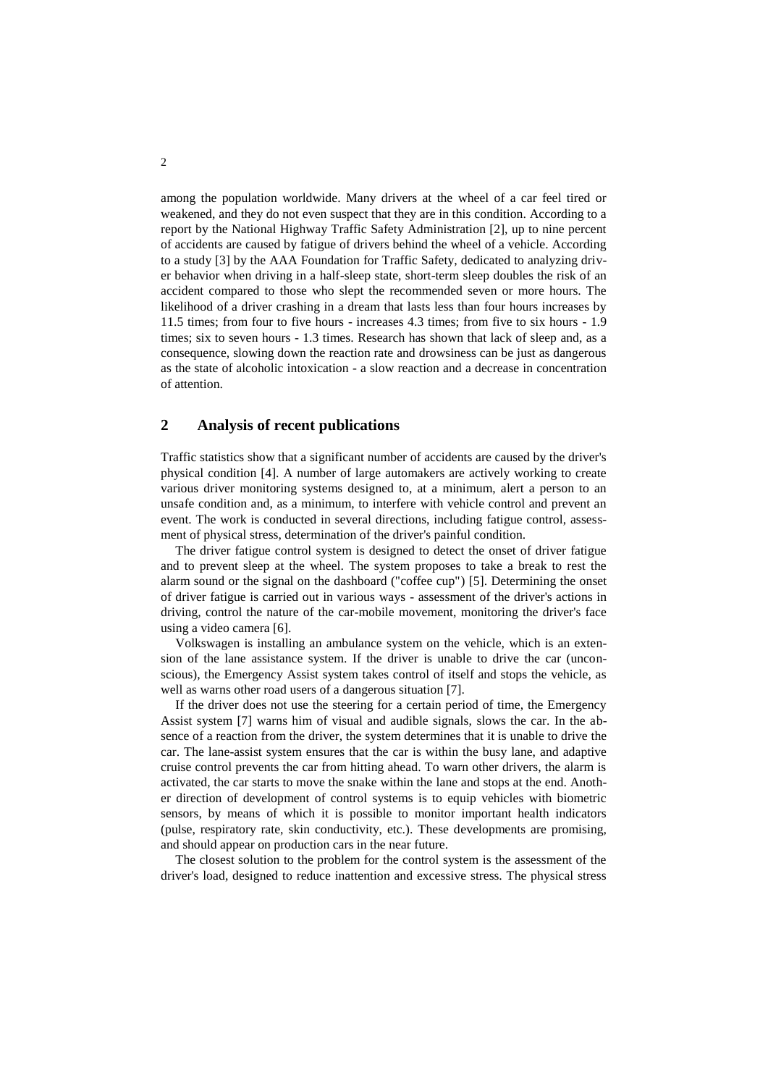among the population worldwide. Many drivers at the wheel of a car feel tired or weakened, and they do not even suspect that they are in this condition. According to a report by the National Highway Traffic Safety Administration [2], up to nine percent of accidents are caused by fatigue of drivers behind the wheel of a vehicle. According to a study [3] by the AAA Foundation for Traffic Safety, dedicated to analyzing driver behavior when driving in a half-sleep state, short-term sleep doubles the risk of an accident compared to those who slept the recommended seven or more hours. The likelihood of a driver crashing in a dream that lasts less than four hours increases by 11.5 times; from four to five hours - increases 4.3 times; from five to six hours - 1.9 times; six to seven hours - 1.3 times. Research has shown that lack of sleep and, as a consequence, slowing down the reaction rate and drowsiness can be just as dangerous as the state of alcoholic intoxication - a slow reaction and a decrease in concentration of attention.

## **2 Analysis of recent publications**

Traffic statistics show that a significant number of accidents are caused by the driver's physical condition [4]. A number of large automakers are actively working to create various driver monitoring systems designed to, at a minimum, alert a person to an unsafe condition and, as a minimum, to interfere with vehicle control and prevent an event. The work is conducted in several directions, including fatigue control, assessment of physical stress, determination of the driver's painful condition.

The driver fatigue control system is designed to detect the onset of driver fatigue and to prevent sleep at the wheel. The system proposes to take a break to rest the alarm sound or the signal on the dashboard ("coffee cup") [5]. Determining the onset of driver fatigue is carried out in various ways - assessment of the driver's actions in driving, control the nature of the car-mobile movement, monitoring the driver's face using a video camera [6].

Volkswagen is installing an ambulance system on the vehicle, which is an extension of the lane assistance system. If the driver is unable to drive the car (unconscious), the Emergency Assist system takes control of itself and stops the vehicle, as well as warns other road users of a dangerous situation [7].

If the driver does not use the steering for a certain period of time, the Emergency Assist system [7] warns him of visual and audible signals, slows the car. In the absence of a reaction from the driver, the system determines that it is unable to drive the car. The lane-assist system ensures that the car is within the busy lane, and adaptive cruise control prevents the car from hitting ahead. To warn other drivers, the alarm is activated, the car starts to move the snake within the lane and stops at the end. Another direction of development of control systems is to equip vehicles with biometric sensors, by means of which it is possible to monitor important health indicators (pulse, respiratory rate, skin conductivity, etc.). These developments are promising, and should appear on production cars in the near future.

The closest solution to the problem for the control system is the assessment of the driver's load, designed to reduce inattention and excessive stress. The physical stress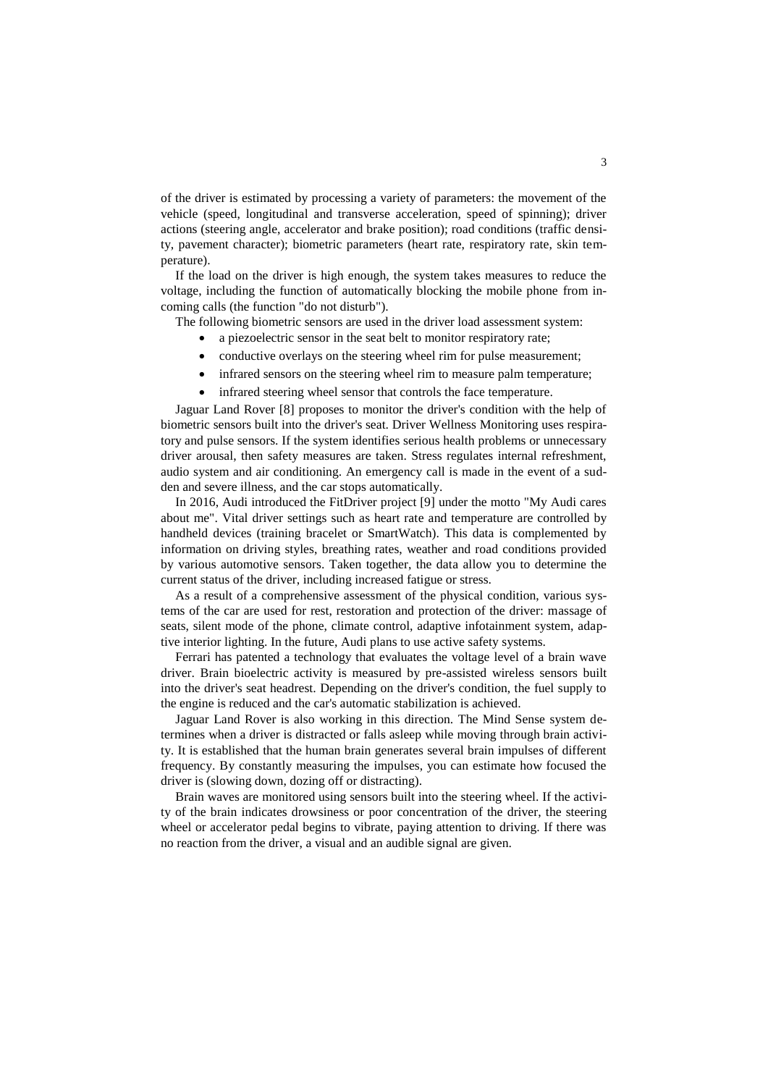of the driver is estimated by processing a variety of parameters: the movement of the vehicle (speed, longitudinal and transverse acceleration, speed of spinning); driver actions (steering angle, accelerator and brake position); road conditions (traffic density, pavement character); biometric parameters (heart rate, respiratory rate, skin temperature).

If the load on the driver is high enough, the system takes measures to reduce the voltage, including the function of automatically blocking the mobile phone from incoming calls (the function "do not disturb").

The following biometric sensors are used in the driver load assessment system:

- a piezoelectric sensor in the seat belt to monitor respiratory rate;
- conductive overlays on the steering wheel rim for pulse measurement;
- infrared sensors on the steering wheel rim to measure palm temperature;
- infrared steering wheel sensor that controls the face temperature.

Jaguar Land Rover [8] proposes to monitor the driver's condition with the help of biometric sensors built into the driver's seat. Driver Wellness Monitoring uses respiratory and pulse sensors. If the system identifies serious health problems or unnecessary driver arousal, then safety measures are taken. Stress regulates internal refreshment, audio system and air conditioning. An emergency call is made in the event of a sudden and severe illness, and the car stops automatically.

In 2016, Audi introduced the FitDriver project [9] under the motto "My Audi cares about me". Vital driver settings such as heart rate and temperature are controlled by handheld devices (training bracelet or SmartWatch). This data is complemented by information on driving styles, breathing rates, weather and road conditions provided by various automotive sensors. Taken together, the data allow you to determine the current status of the driver, including increased fatigue or stress.

As a result of a comprehensive assessment of the physical condition, various systems of the car are used for rest, restoration and protection of the driver: massage of seats, silent mode of the phone, climate control, adaptive infotainment system, adaptive interior lighting. In the future, Audi plans to use active safety systems.

Ferrari has patented a technology that evaluates the voltage level of a brain wave driver. Brain bioelectric activity is measured by pre-assisted wireless sensors built into the driver's seat headrest. Depending on the driver's condition, the fuel supply to the engine is reduced and the car's automatic stabilization is achieved.

Jaguar Land Rover is also working in this direction. The Mind Sense system determines when a driver is distracted or falls asleep while moving through brain activity. It is established that the human brain generates several brain impulses of different frequency. By constantly measuring the impulses, you can estimate how focused the driver is (slowing down, dozing off or distracting).

Brain waves are monitored using sensors built into the steering wheel. If the activity of the brain indicates drowsiness or poor concentration of the driver, the steering wheel or accelerator pedal begins to vibrate, paying attention to driving. If there was no reaction from the driver, a visual and an audible signal are given.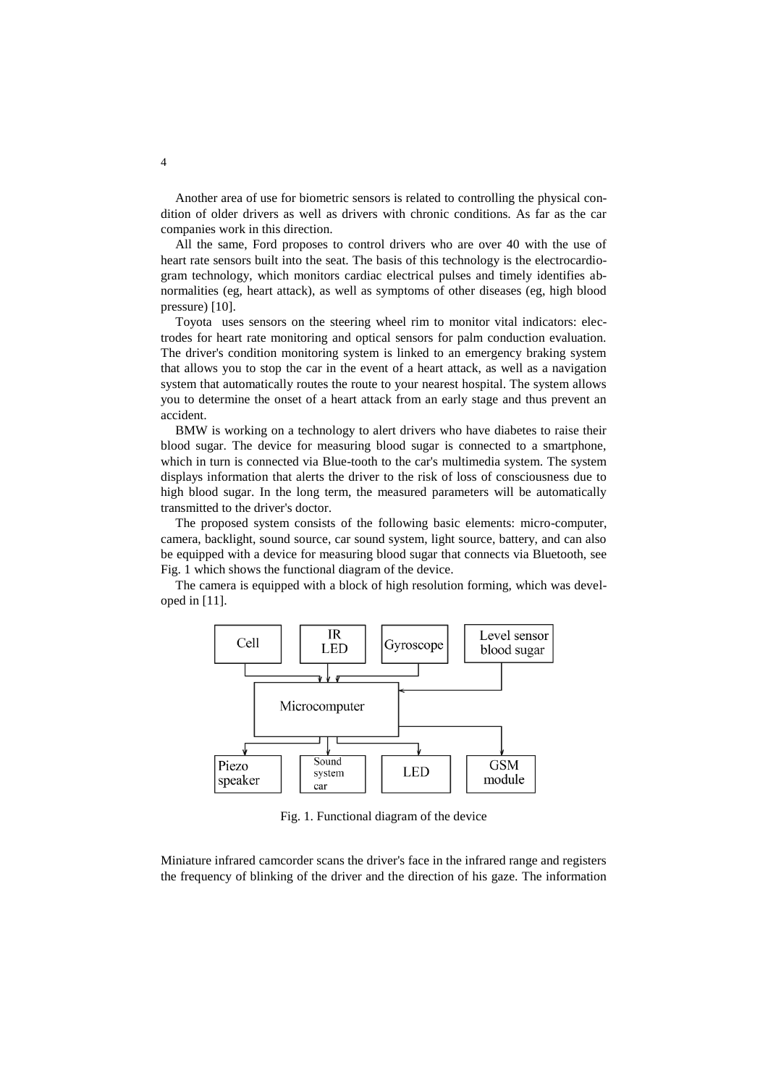Another area of use for biometric sensors is related to controlling the physical condition of older drivers as well as drivers with chronic conditions. As far as the car companies work in this direction.

All the same, Ford proposes to control drivers who are over 40 with the use of heart rate sensors built into the seat. The basis of this technology is the electrocardiogram technology, which monitors cardiac electrical pulses and timely identifies abnormalities (eg, heart attack), as well as symptoms of other diseases (eg, high blood pressure) [10].

Toyota uses sensors on the steering wheel rim to monitor vital indicators: electrodes for heart rate monitoring and optical sensors for palm conduction evaluation. The driver's condition monitoring system is linked to an emergency braking system that allows you to stop the car in the event of a heart attack, as well as a navigation system that automatically routes the route to your nearest hospital. The system allows you to determine the onset of a heart attack from an early stage and thus prevent an accident.

BMW is working on a technology to alert drivers who have diabetes to raise their blood sugar. The device for measuring blood sugar is connected to a smartphone, which in turn is connected via Blue-tooth to the car's multimedia system. The system displays information that alerts the driver to the risk of loss of consciousness due to high blood sugar. In the long term, the measured parameters will be automatically transmitted to the driver's doctor.

The proposed system consists of the following basic elements: micro-computer, camera, backlight, sound source, car sound system, light source, battery, and can also be equipped with a device for measuring blood sugar that connects via Bluetooth, see Fig. 1 which shows the functional diagram of the device.

The camera is equipped with a block of high resolution forming, which was developed in [11].



Fig. 1. Functional diagram of the device

Miniature infrared camcorder scans the driver's face in the infrared range and registers the frequency of blinking of the driver and the direction of his gaze. The information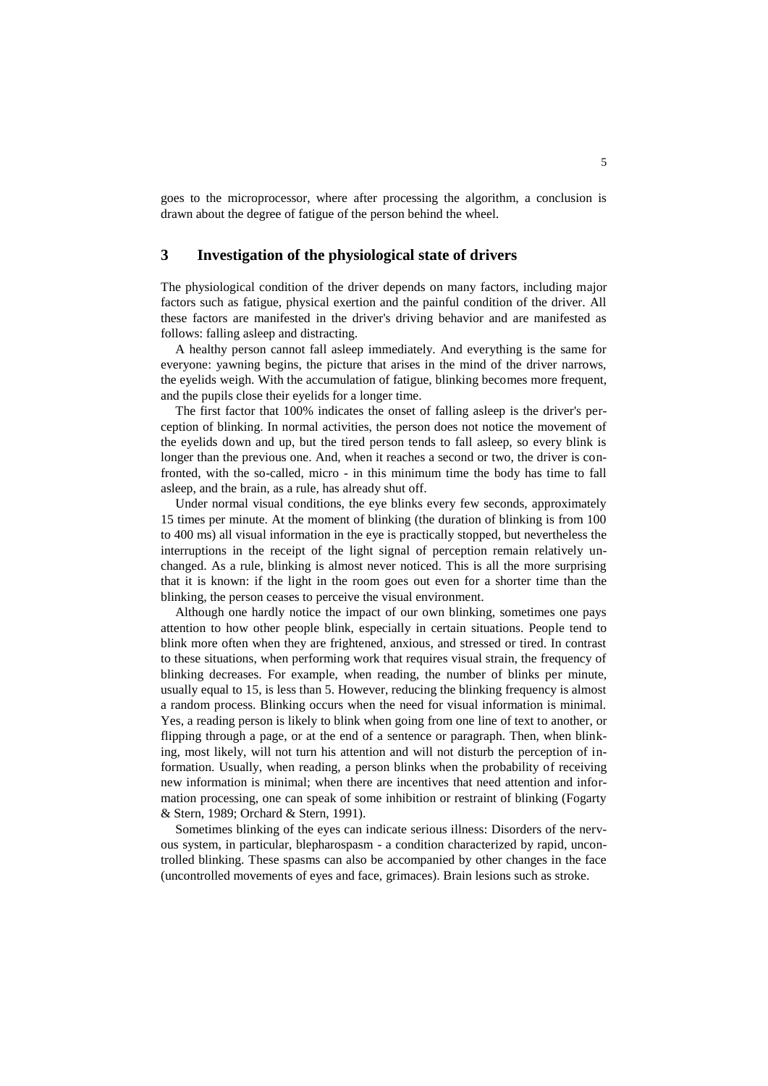goes to the microprocessor, where after processing the algorithm, a conclusion is drawn about the degree of fatigue of the person behind the wheel.

# **3 Investigation of the physiological state of drivers**

The physiological condition of the driver depends on many factors, including major factors such as fatigue, physical exertion and the painful condition of the driver. All these factors are manifested in the driver's driving behavior and are manifested as follows: falling asleep and distracting.

A healthy person cannot fall asleep immediately. And everything is the same for everyone: yawning begins, the picture that arises in the mind of the driver narrows, the eyelids weigh. With the accumulation of fatigue, blinking becomes more frequent, and the pupils close their eyelids for a longer time.

The first factor that 100% indicates the onset of falling asleep is the driver's perception of blinking. In normal activities, the person does not notice the movement of the eyelids down and up, but the tired person tends to fall asleep, so every blink is longer than the previous one. And, when it reaches a second or two, the driver is confronted, with the so-called, micro - in this minimum time the body has time to fall asleep, and the brain, as a rule, has already shut off.

Under normal visual conditions, the eye blinks every few seconds, approximately 15 times per minute. At the moment of blinking (the duration of blinking is from 100 to 400 ms) all visual information in the eye is practically stopped, but nevertheless the interruptions in the receipt of the light signal of perception remain relatively unchanged. As a rule, blinking is almost never noticed. This is all the more surprising that it is known: if the light in the room goes out even for a shorter time than the blinking, the person ceases to perceive the visual environment.

Although one hardly notice the impact of our own blinking, sometimes one pays attention to how other people blink, especially in certain situations. People tend to blink more often when they are frightened, anxious, and stressed or tired. In contrast to these situations, when performing work that requires visual strain, the frequency of blinking decreases. For example, when reading, the number of blinks per minute, usually equal to 15, is less than 5. However, reducing the blinking frequency is almost a random process. Blinking occurs when the need for visual information is minimal. Yes, a reading person is likely to blink when going from one line of text to another, or flipping through a page, or at the end of a sentence or paragraph. Then, when blinking, most likely, will not turn his attention and will not disturb the perception of information. Usually, when reading, a person blinks when the probability of receiving new information is minimal; when there are incentives that need attention and information processing, one can speak of some inhibition or restraint of blinking (Fogarty & Stern, 1989; Orchard & Stern, 1991).

Sometimes blinking of the eyes can indicate serious illness: Disorders of the nervous system, in particular, blepharospasm - a condition characterized by rapid, uncontrolled blinking. These spasms can also be accompanied by other changes in the face (uncontrolled movements of eyes and face, grimaces). Brain lesions such as stroke.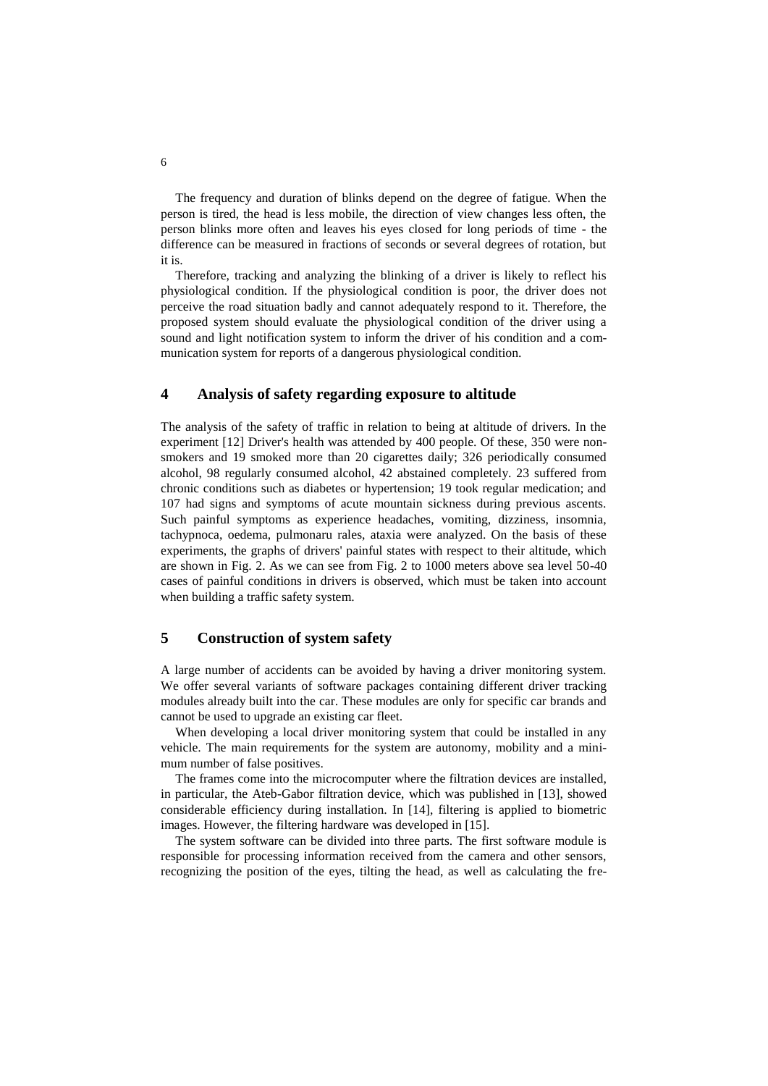The frequency and duration of blinks depend on the degree of fatigue. When the person is tired, the head is less mobile, the direction of view changes less often, the person blinks more often and leaves his eyes closed for long periods of time - the difference can be measured in fractions of seconds or several degrees of rotation, but it is.

Therefore, tracking and analyzing the blinking of a driver is likely to reflect his physiological condition. If the physiological condition is poor, the driver does not perceive the road situation badly and cannot adequately respond to it. Therefore, the proposed system should evaluate the physiological condition of the driver using a sound and light notification system to inform the driver of his condition and a communication system for reports of a dangerous physiological condition.

#### **4 Analysis of safety regarding exposure to altitude**

The analysis of the safety of traffic in relation to being at altitude of drivers. In the experiment [12] Driver's health was attended by 400 people. Of these, 350 were nonsmokers and 19 smoked more than 20 cigarettes daily; 326 periodically consumed alcohol, 98 regularly consumed alcohol, 42 abstained completely. 23 suffered from chronic conditions such as diabetes or hypertension; 19 took regular medication; and 107 had signs and symptoms of acute mountain sickness during previous ascents. Such painful symptoms as experience headaches, vomiting, dizziness, insomnia, tachypnoca, oedema, pulmonaru rales, ataxia were analyzed. On the basis of these experiments, the graphs of drivers' painful states with respect to their altitude, which are shown in Fig. 2. As we can see from Fig. 2 to 1000 meters above sea level 50-40 cases of painful conditions in drivers is observed, which must be taken into account when building a traffic safety system.

# **5 Construction of system safety**

A large number of accidents can be avoided by having a driver monitoring system. We offer several variants of software packages containing different driver tracking modules already built into the car. These modules are only for specific car brands and cannot be used to upgrade an existing car fleet.

When developing a local driver monitoring system that could be installed in any vehicle. The main requirements for the system are autonomy, mobility and a minimum number of false positives.

The frames come into the microcomputer where the filtration devices are installed, in particular, the Ateb-Gabor filtration device, which was published in [13], showed considerable efficiency during installation. In [14], filtering is applied to biometric images. However, the filtering hardware was developed in [15].

The system software can be divided into three parts. The first software module is responsible for processing information received from the camera and other sensors, recognizing the position of the eyes, tilting the head, as well as calculating the fre-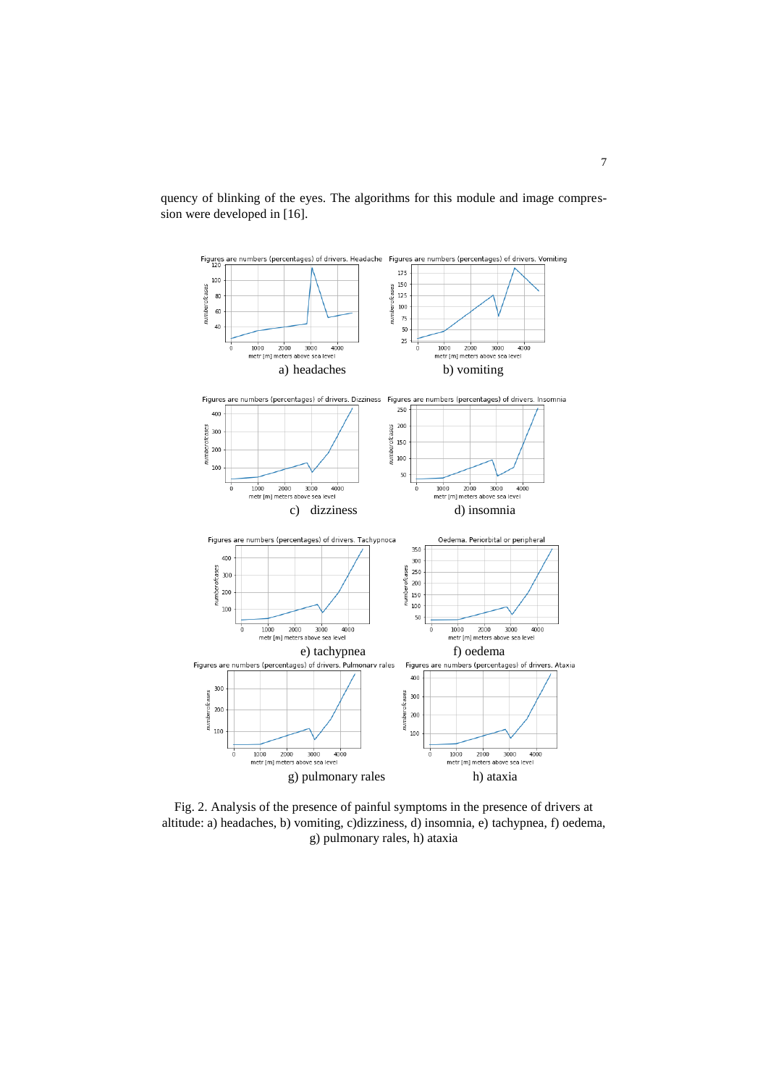

quency of blinking of the eyes. The algorithms for this module and image compression were developed in [16].

Fig. 2. Analysis of the presence of painful symptoms in the presence of drivers at altitude: a) headaches, b) vomiting, c)dizziness, d) insomnia, e) tachypnea, f) oedema, g) pulmonary rales, h) ataxia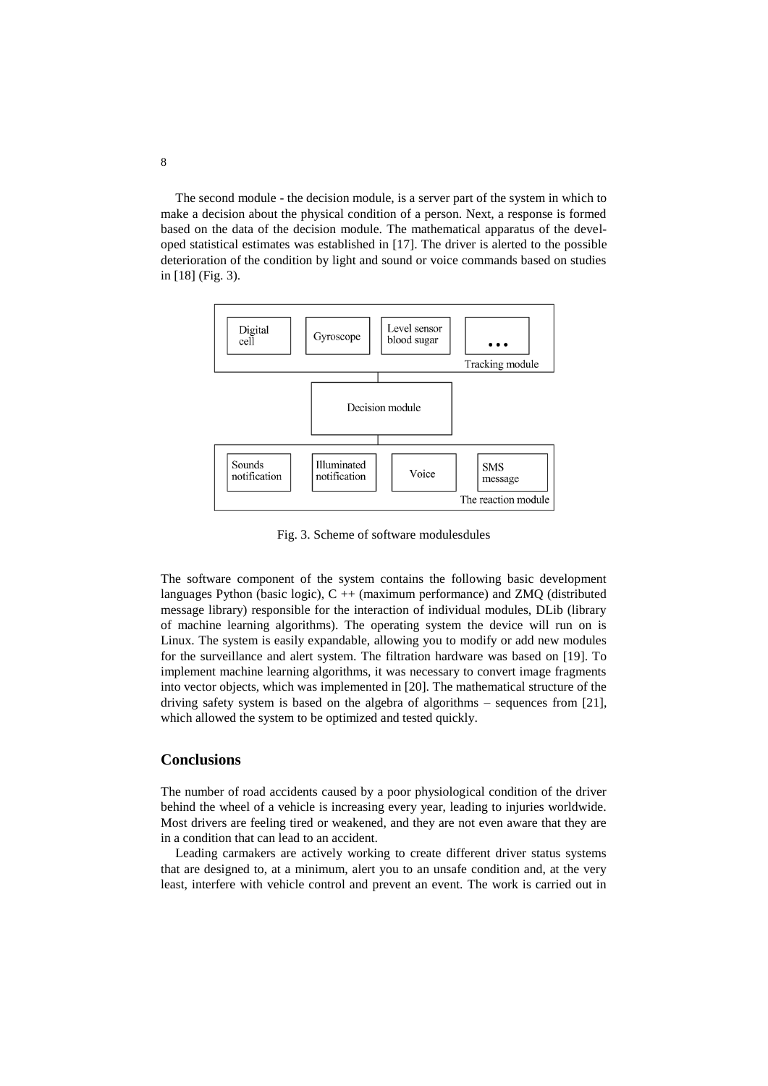The second module - the decision module, is a server part of the system in which to make a decision about the physical condition of a person. Next, a response is formed based on the data of the decision module. The mathematical apparatus of the developed statistical estimates was established in [17]. The driver is alerted to the possible deterioration of the condition by light and sound or voice commands based on studies in [18] (Fig. 3).



Fig. 3. Scheme of software modulesdules

The software component of the system contains the following basic development languages Python (basic logic), C ++ (maximum performance) and ZMQ (distributed message library) responsible for the interaction of individual modules, DLib (library of machine learning algorithms). The operating system the device will run on is Linux. The system is easily expandable, allowing you to modify or add new modules for the surveillance and alert system. The filtration hardware was based on [19]. To implement machine learning algorithms, it was necessary to convert image fragments into vector objects, which was implemented in [20]. The mathematical structure of the driving safety system is based on the algebra of algorithms – sequences from [21], which allowed the system to be optimized and tested quickly.

## **Conclusions**

The number of road accidents caused by a poor physiological condition of the driver behind the wheel of a vehicle is increasing every year, leading to injuries worldwide. Most drivers are feeling tired or weakened, and they are not even aware that they are in a condition that can lead to an accident.

Leading carmakers are actively working to create different driver status systems that are designed to, at a minimum, alert you to an unsafe condition and, at the very least, interfere with vehicle control and prevent an event. The work is carried out in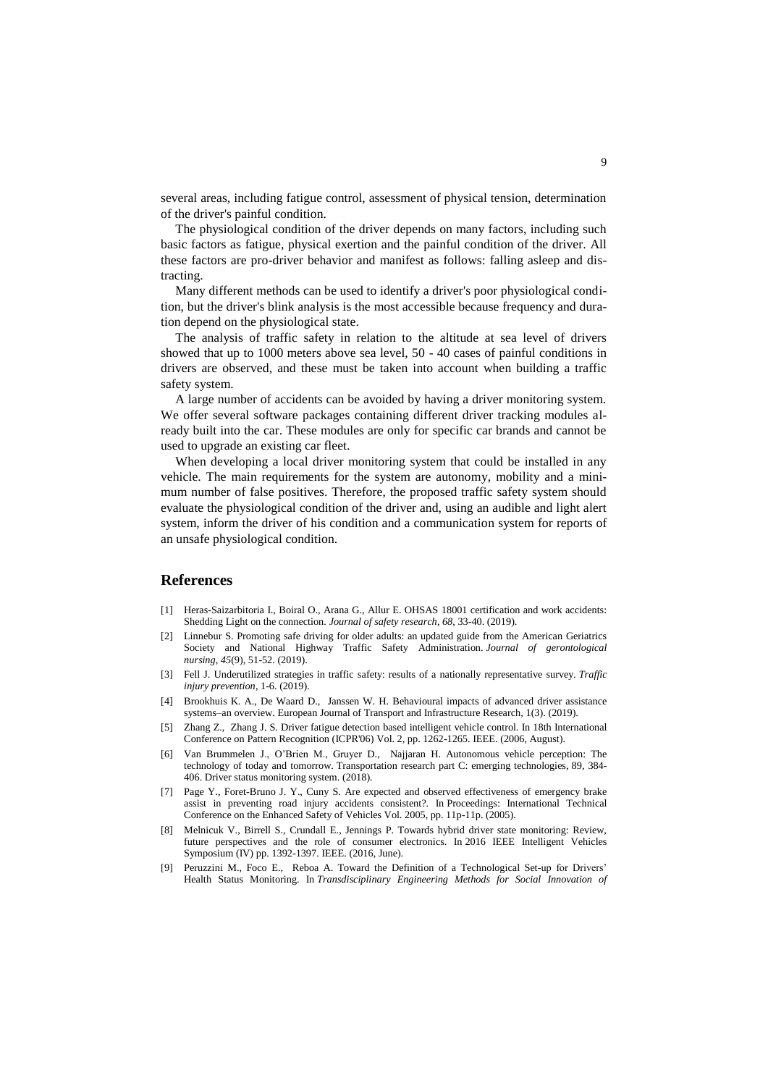several areas, including fatigue control, assessment of physical tension, determination of the driver's painful condition.

The physiological condition of the driver depends on many factors, including such basic factors as fatigue, physical exertion and the painful condition of the driver. All these factors are pro-driver behavior and manifest as follows: falling asleep and distracting.

Many different methods can be used to identify a driver's poor physiological condition, but the driver's blink analysis is the most accessible because frequency and duration depend on the physiological state.

The analysis of traffic safety in relation to the altitude at sea level of drivers showed that up to 1000 meters above sea level, 50 - 40 cases of painful conditions in drivers are observed, and these must be taken into account when building a traffic safety system.

A large number of accidents can be avoided by having a driver monitoring system. We offer several software packages containing different driver tracking modules already built into the car. These modules are only for specific car brands and cannot be used to upgrade an existing car fleet.

When developing a local driver monitoring system that could be installed in any vehicle. The main requirements for the system are autonomy, mobility and a minimum number of false positives. Therefore, the proposed traffic safety system should evaluate the physiological condition of the driver and, using an audible and light alert system, inform the driver of his condition and a communication system for reports of an unsafe physiological condition.

#### **References**

- [1] Heras-Saizarbitoria I., Boiral O., Arana G., Allur E. OHSAS 18001 certification and work accidents: Shedding Light on the connection. *Journal of safety research*, *68*, 33-40. (2019).
- [2] Linnebur S. Promoting safe driving for older adults: an updated guide from the American Geriatrics Society and National Highway Traffic Safety Administration. *Journal of gerontological nursing*, *45*(9), 51-52. (2019).
- [3] Fell J. Underutilized strategies in traffic safety: results of a nationally representative survey. *Traffic injury prevention*, 1-6. (2019).
- [4] Brookhuis K. A., De Waard D., Janssen W. H. Behavioural impacts of advanced driver assistance systems–an overview. European Journal of Transport and Infrastructure Research, 1(3). (2019).
- [5] Zhang Z., Zhang J. S. Driver fatigue detection based intelligent vehicle control. In 18th International Conference on Pattern Recognition (ICPR'06) Vol. 2, pp. 1262-1265. IEEE. (2006, August).
- [6] Van Brummelen J., O'Brien M., Gruyer D., Najjaran H. Autonomous vehicle perception: The technology of today and tomorrow. Transportation research part C: emerging technologies, 89, 384- 406. Driver status monitoring system. (2018).
- [7] Page Y., Foret-Bruno J. Y., Cuny S. Are expected and observed effectiveness of emergency brake assist in preventing road injury accidents consistent?. In Proceedings: International Technical Conference on the Enhanced Safety of Vehicles Vol. 2005, pp. 11p-11p. (2005).
- [8] Melnicuk V., Birrell S., Crundall E., Jennings P. Towards hybrid driver state monitoring: Review, future perspectives and the role of consumer electronics. In 2016 IEEE Intelligent Vehicles Symposium (IV) pp. 1392-1397. IEEE. (2016, June).
- [9] Peruzzini M., Foco E., Reboa A. Toward the Definition of a Technological Set-up for Drivers' Health Status Monitoring. In *Transdisciplinary Engineering Methods for Social Innovation of*